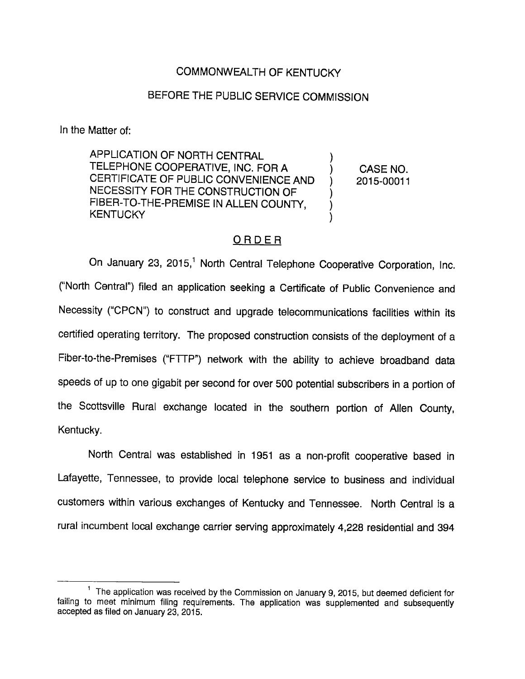## COMMONWEALTH OF KENTUCKY

# BEFORE THE PUBLIC SERVICE COMMISSION

In the Matter of:

APPLICATION OF NORTH CENTRAL TELEPHONE COOPERATIVE, INC. FOR A (CASE NO. CERTIFICATE OF PUBLIC CONVENIENCE AND ) 2015-00011 NECESSITY FOR THE CONSTRUCTION OF FIBER-TO-THE-PREMISE IN ALLEN COUNTY, **KENTUCKY** 

## ORDER

On January 23, 2015,<sup>1</sup> North Central Telephone Cooperative Corporation, Inc. ("North Central") filed an application seeking a Certificate of Public Convenience and Necessity ("CPCN") to construct and upgrade telecommunications facilities within its certified operating territory. The proposed construction consists of the deployment of a Fiber-to-the-Premises ("FTTP") network with the ability to achieve broadband data speeds of up to one gigabit per second for over 500 potential subscribers in a portion of the Scottsville Rural exchange located in the southern portion of Allen County, Kentucky.

North Central was established in 1951 as a non-profit cooperative based in Lafayette, Tennessee, to provide local telephone service to business and individual customers within various exchanges of Kentucky and Tennessee. North Central is a rural incumbent local exchange carrier serving approximately 4,228 residential and 394

<sup>&</sup>lt;sup>1</sup> The application was received by the Commission on January 9, 2015, but deemed deficient for failing to meet minimum filing requirements. The application was supplemented and subsequently accepted as filed on January 23, 2015.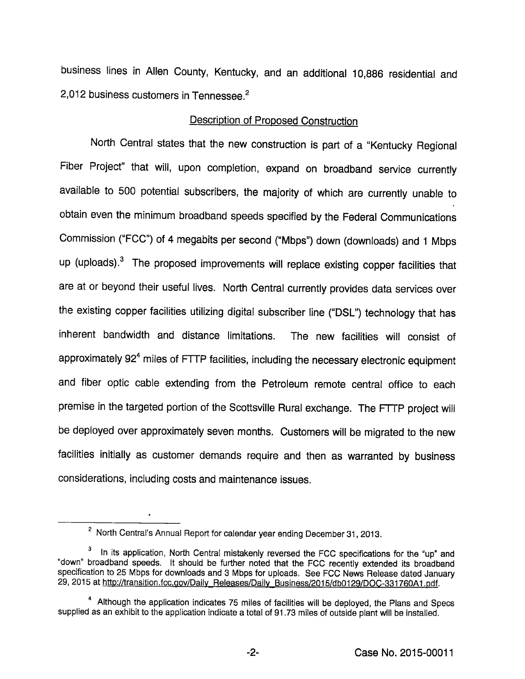business lines in Allen County, Kentucky, and an additional 10,886 residential and 2,012 business customers in Tennessee.<sup>2</sup>

#### Description of Proposed Construction

North Central states that the new construction is part of a "Kentucky Regional Fiber Project" that will, upon completion, expand on broadband service currently available to 500 potential subscribers, the majority of which are currently unable to obtain even the minimum broadband speeds specified by the Federal Communications Commission ("FCC") of 4 megabits per second ("Mbps") down (downloads) and 1 Mbps up (uploads). $3$  The proposed improvements will replace existing copper facilities that are at or beyond their useful lives. North Central currently provides data services over the existing copper facilities utilizing digital subscriber line ("DSL") technology that has inherent bandwidth and distance limitations. The new facilities will consist of approximately  $92<sup>4</sup>$  miles of FTTP facilities, including the necessary electronic equipment and fiber optic cable extending from the Petroleum remote central office to each premise in the targeted portion of the Scottsville Rural exchange. The FTTP project will be deployed over approximately seven months. Customers will be migrated to the new facilities initially as customer demands require and then as warranted by business considerations, including costs and maintenance issues.

 $^2$  North Central's Annual Report for calendar year ending December 31, 2013.

 $3$  In its application, North Central mistakenly reversed the FCC specifications for the "up" and "down" broadband speeds. It should be further noted that the FCC recently extended its broadband specification to 25 Mbps for downloads and 3 Mbps for uploads. See FCC News Release dated January 29, 2015 at http://transition.fcc.gov/Daily Releases/Daily Business/2015/db0129/DOC-331760A1.pdf.

<sup>&</sup>lt;sup>4</sup> Although the application indicates 75 miles of facilities will be deployed, the Plans and Specs supplied as an exhibit to the application indicate a total of 91.73 miles of outside plant will be installed.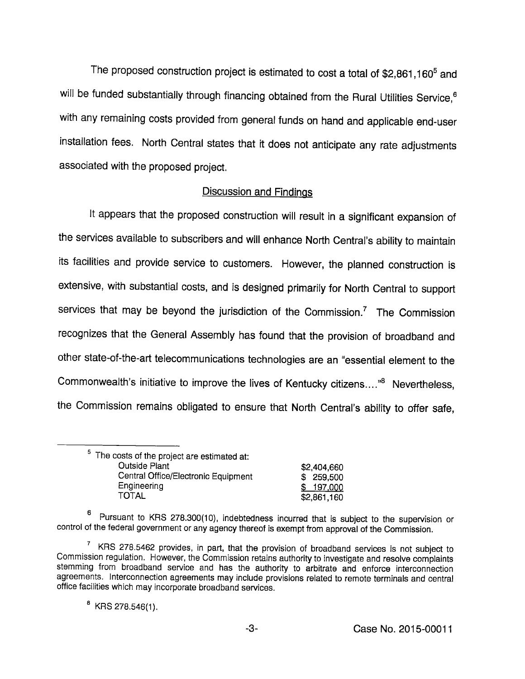The proposed construction project is estimated to cost a total of \$2,861,160<sup>5</sup> and will be funded substantially through financing obtained from the Rural Utilities Service,<sup>6</sup> with any remaining costs provided from general funds on hand and applicable end-user installation fees. North Central states that it does not anticipate any rate adjustments associated with the proposed project.

### Discussion and Findings

It appears that the proposed construction will result in a significant expansion of the services available to subscribers and will enhance North Central's ability to maintain its facilities and provide service to customers. However, the planned construction is extensive, with substantiai costs, and is designed primarily for North Central to support services that may be beyond the jurisdiction of the Commission. $<sup>7</sup>$  The Commission</sup> recognizes that the General Assembly has found that the provision of broadband and other state-of-the-art telecommunications technologies are an "essential element to the Commonwealth's initiative to improve the lives of Kentucky citizens...."® Nevertheless, the Commission remains obligated to ensure that North Central's ability to offer safe.

| <sup>5</sup> The costs of the project are estimated at: |             |
|---------------------------------------------------------|-------------|
| <b>Outside Plant</b>                                    | \$2,404,660 |
| Central Office/Electronic Equipment                     | \$ 259,500  |
| Engineering                                             | \$197,000   |
| TOTAL                                                   | \$2,861,160 |

g Pursuant to KRS 278.300(10), indebtedness incurred that is subject to the supervision or control of the federal government or any agency thereof is exempt from approval of the Commission.

 $\frac{7}{1}$  KRS 278.5462 provides, in part, that the provision of broadband services is not subject to Commission regulation. However, the Commission retains authority to investigate and resolve complaints stemming from broadband service and has the authority to arbitrate and enforce interconnection agreements. Interconnection agreements may include provisions related to remote terminals and central office facilities which may incorporate broadband services.

 $B$  KRS 278.546(1).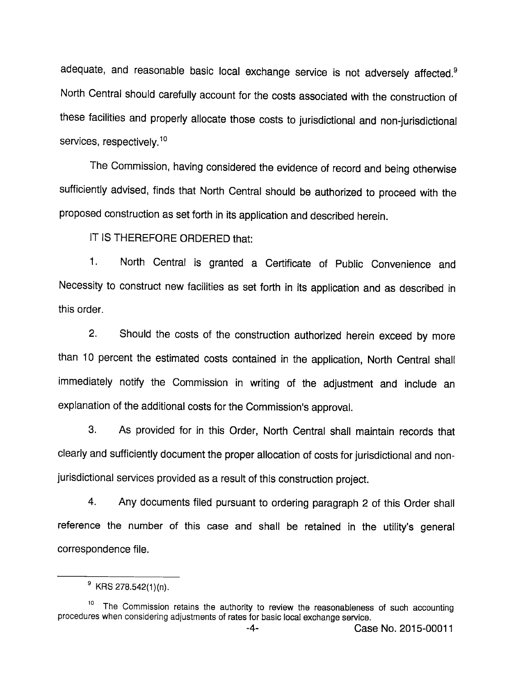adequate, and reasonable basic local exchange service is not adversely affected.<sup>9</sup> North Central should carefully account for the costs associated with the construction of these facilities and properly allocate those costs to jurisdictional and non-jurisdictional services, respectively.<sup>10</sup>

The Commission, having considered the evidence of record and being otherwise sufficiently advised, finds that North Central should be authorized to proceed with the proposed construction as set forth in its application and described herein.

IT IS THEREFORE ORDERED that:

1. North Central is granted a Certificate of Public Convenience and Necessity to construct new facilities as set forth in its application and as described in this order.

2. Should the costs of the construction authorized herein exceed by more than 10 percent the estimated costs contained in the application. North Central shall immediately notify the Commission in writing of the adjustment and include an explanation of the additional costs for the Commission's approval.

3. As provided for in this Order, North Central shall maintain records that clearly and sufficiently document the proper allocation of costs for jurisdictional and nonjurisdictional services provided as a result of this construction project.

4. Any documents filed pursuant to ordering paragraph 2 of this Order shall reference the number of this case and shall be retained in the utility's general correspondence file.

 $^9$  KRS 278.542(1)(n).

<sup>&</sup>lt;sup>10</sup> The Commission retains the authority to review the reasonableness of such accounting procedures when considering adjustments of rates for basic local exchange service.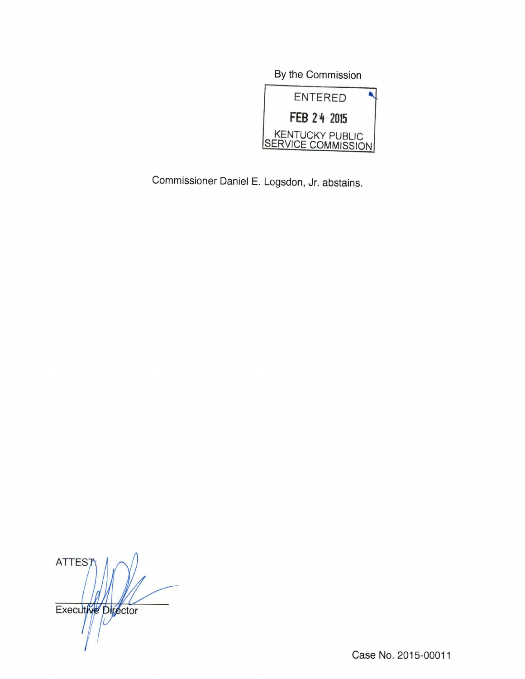By the Commission **ENTERED** FEB 2 4 2015 KENTUCKY PUBLIC SERVICE COMMISSION

Commissioner Daniel E. Logsdon, Jr. abstains.

**ATTES** Executive Director

Case No. 2015-00011